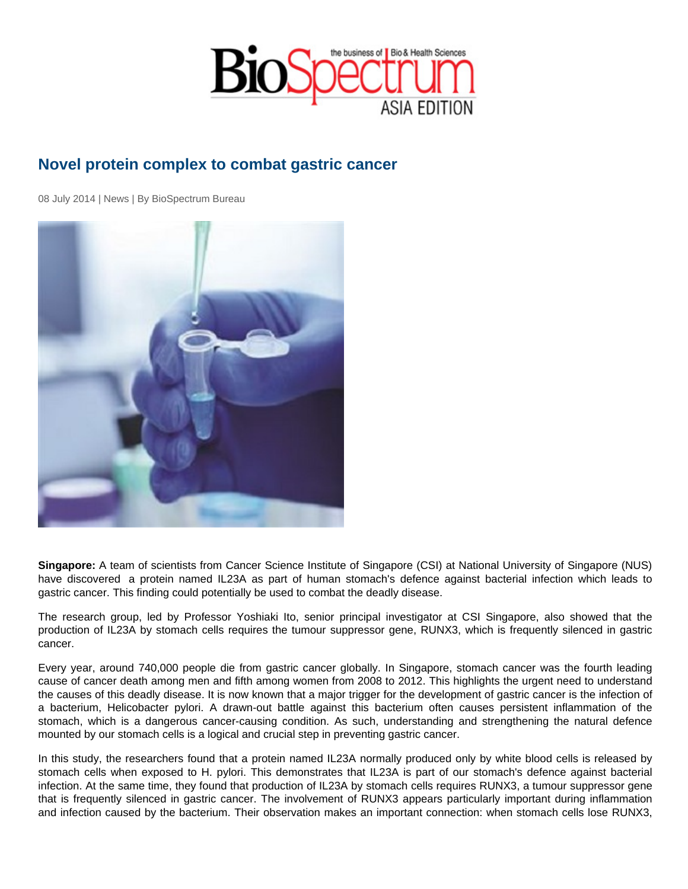## Novel protein complex to combat gastric cancer

08 July 2014 | News | By BioSpectrum Bureau

Singapore: A team of scientists from Cancer Science Institute of Singapore (CSI) at National University of Singapore (NUS) have discovered a protein named IL23A as part of human stomach's defence against bacterial infection which leads to gastric cancer. This finding could potentially be used to combat the deadly disease.

The research group, led by Professor Yoshiaki Ito, senior principal investigator at CSI Singapore, also showed that the production of IL23A by stomach cells requires the tumour suppressor gene, RUNX3, which is frequently silenced in gastric cancer.

Every year, around 740,000 people die from gastric cancer globally. In Singapore, stomach cancer was the fourth leading cause of cancer death among men and fifth among women from 2008 to 2012. This highlights the urgent need to understand the causes of this deadly disease. It is now known that a major trigger for the development of gastric cancer is the infection of a bacterium, Helicobacter pylori. A drawn-out battle against this bacterium often causes persistent inflammation of the stomach, which is a dangerous cancer-causing condition. As such, understanding and strengthening the natural defence mounted by our stomach cells is a logical and crucial step in preventing gastric cancer.

In this study, the researchers found that a protein named IL23A normally produced only by white blood cells is released by stomach cells when exposed to H. pylori. This demonstrates that IL23A is part of our stomach's defence against bacterial infection. At the same time, they found that production of IL23A by stomach cells requires RUNX3, a tumour suppressor gene that is frequently silenced in gastric cancer. The involvement of RUNX3 appears particularly important during inflammation and infection caused by the bacterium. Their observation makes an important connection: when stomach cells lose RUNX3,